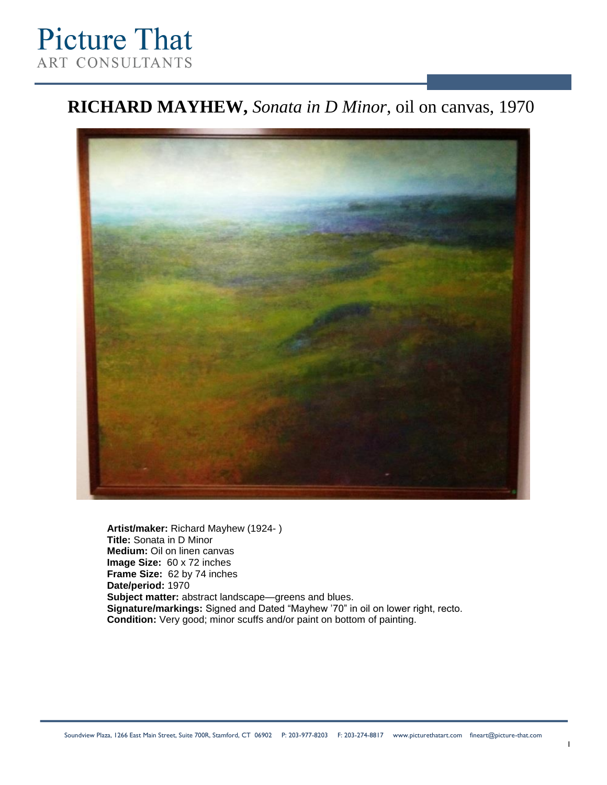# **Picture That ART CONSULTANTS**

### **RICHARD MAYHEW,** *Sonata in D Minor*, oil on canvas, 1970



**Artist/maker:** Richard Mayhew (1924- ) **Title:** Sonata in D Minor **Medium:** Oil on linen canvas **Image Size:** 60 x 72 inches **Frame Size:** 62 by 74 inches **Date/period:** 1970 **Subject matter:** abstract landscape—greens and blues. **Signature/markings:** Signed and Dated "Mayhew '70" in oil on lower right, recto. **Condition:** Very good; minor scuffs and/or paint on bottom of painting.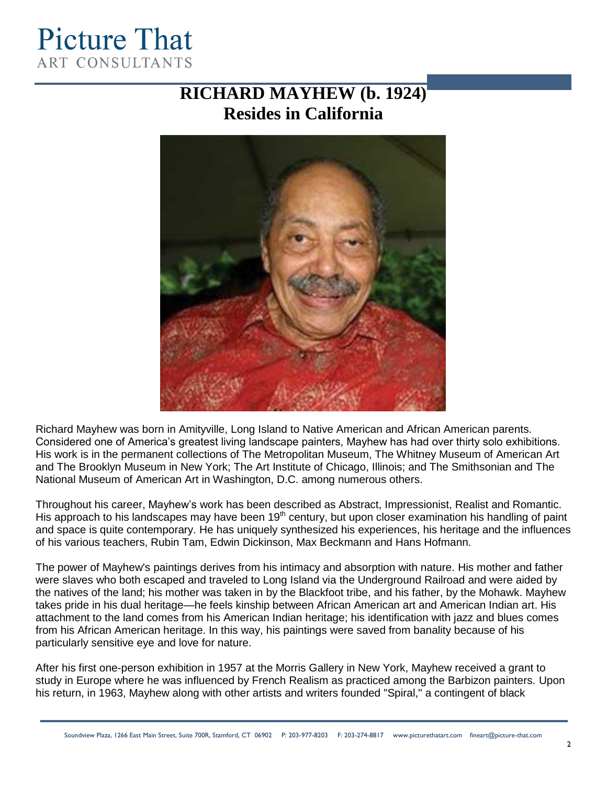## **Picture That ART CONSULTANTS**

## **RICHARD MAYHEW (b. 1924) Resides in California**



Richard Mayhew was born in Amityville, Long Island to Native American and African American parents. Considered one of America's greatest living landscape painters, Mayhew has had over thirty solo exhibitions. His work is in the permanent collections of The Metropolitan Museum, The Whitney Museum of American Art and The Brooklyn Museum in New York; The Art Institute of Chicago, Illinois; and The Smithsonian and The National Museum of American Art in Washington, D.C. among numerous others.

Throughout his career, Mayhew's work has been described as Abstract, Impressionist, Realist and Romantic. His approach to his landscapes may have been  $19<sup>th</sup>$  century, but upon closer examination his handling of paint and space is quite contemporary. He has uniquely synthesized his experiences, his heritage and the influences of his various teachers, Rubin Tam, Edwin Dickinson, Max Beckmann and Hans Hofmann.

The power of Mayhew's paintings derives from his intimacy and absorption with nature. His mother and father were slaves who both escaped and traveled to Long Island via the Underground Railroad and were aided by the natives of the land; his mother was taken in by the Blackfoot tribe, and his father, by the Mohawk. Mayhew takes pride in his dual heritage—he feels kinship between African American art and American Indian art. His attachment to the land comes from his American Indian heritage; his identification with jazz and blues comes from his African American heritage. In this way, his paintings were saved from banality because of his particularly sensitive eye and love for nature.

After his first one-person exhibition in 1957 at the Morris Gallery in New York, Mayhew received a grant to study in Europe where he was influenced by French Realism as practiced among the Barbizon painters. Upon his return, in 1963, Mayhew along with other artists and writers founded "Spiral," a contingent of black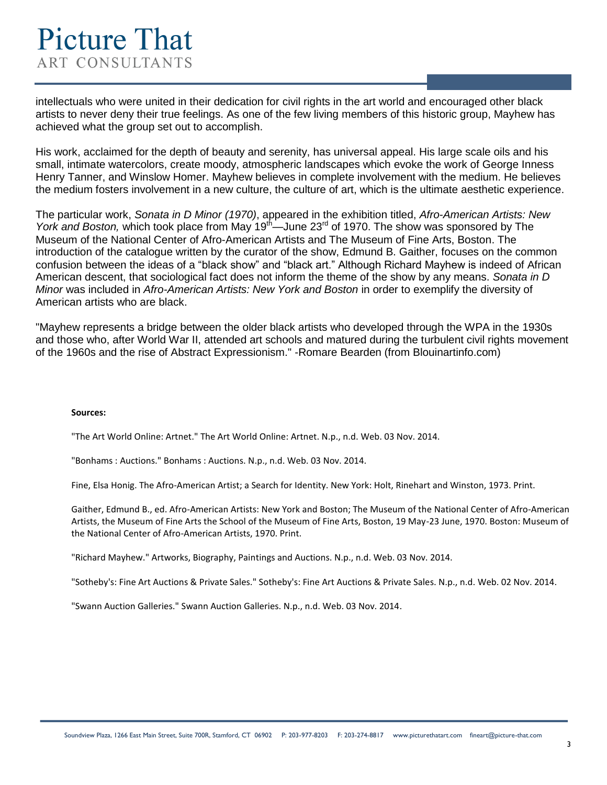intellectuals who were united in their dedication for civil rights in the art world and encouraged other black artists to never deny their true feelings. As one of the few living members of this historic group, Mayhew has achieved what the group set out to accomplish.

His work, acclaimed for the depth of beauty and serenity, has universal appeal. His large scale oils and his small, intimate watercolors, create moody, atmospheric landscapes which evoke the work of George Inness Henry Tanner, and Winslow Homer. Mayhew believes in complete involvement with the medium. He believes the medium fosters involvement in a new culture, the culture of art, which is the ultimate aesthetic experience.

The particular work, *Sonata in D Minor (1970)*, appeared in the exhibition titled, *Afro-American Artists: New York and Boston, which took place from May 19<sup>th</sup>—June 23<sup>rd</sup> of 1970. The show was sponsored by The* Museum of the National Center of Afro-American Artists and The Museum of Fine Arts, Boston. The introduction of the catalogue written by the curator of the show, Edmund B. Gaither, focuses on the common confusion between the ideas of a "black show" and "black art." Although Richard Mayhew is indeed of African American descent, that sociological fact does not inform the theme of the show by any means. *Sonata in D Minor* was included in *Afro-American Artists: New York and Boston* in order to exemplify the diversity of American artists who are black.

"Mayhew represents a bridge between the older black artists who developed through the WPA in the 1930s and those who, after World War II, attended art schools and matured during the turbulent civil rights movement of the 1960s and the rise of Abstract Expressionism." -Romare Bearden (from Blouinartinfo.com)

#### **Sources:**

"The Art World Online: Artnet." The Art World Online: Artnet. N.p., n.d. Web. 03 Nov. 2014.

"Bonhams : Auctions." Bonhams : Auctions. N.p., n.d. Web. 03 Nov. 2014.

Fine, Elsa Honig. The Afro-American Artist; a Search for Identity. New York: Holt, Rinehart and Winston, 1973. Print.

Gaither, Edmund B., ed. Afro-American Artists: New York and Boston; The Museum of the National Center of Afro-American Artists, the Museum of Fine Arts the School of the Museum of Fine Arts, Boston, 19 May-23 June, 1970. Boston: Museum of the National Center of Afro-American Artists, 1970. Print.

"Richard Mayhew." Artworks, Biography, Paintings and Auctions. N.p., n.d. Web. 03 Nov. 2014.

"Sotheby's: Fine Art Auctions & Private Sales." Sotheby's: Fine Art Auctions & Private Sales. N.p., n.d. Web. 02 Nov. 2014.

"Swann Auction Galleries." Swann Auction Galleries. N.p., n.d. Web. 03 Nov. 2014.